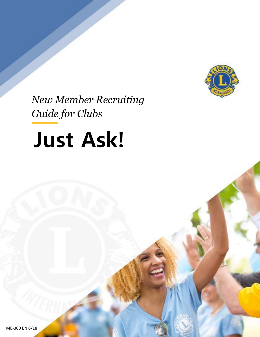

*New Member Recruiting Guide for Clubs* 

# *Just Ask* **Just Ask!**

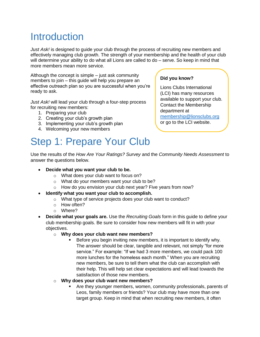# **Introduction**

*Just Ask!* is designed to quide your club through the process of recruiting new members and effectively managing club growth. The strength of your membership and the health of your club will determine your ability to do what all Lions are called to do – serve. So keep in mind that more members mean more service.

Although the concept is simple – just ask community members to join – this guide will help you prepare an effective outreach plan so you are successful when you're ready to ask.

*Just Ask!* will lead your club through a four-step process for recruiting new members:

- 1. Preparing your club
- 2. Creating your club's growth plan
- 3. Implementing your club's growth plan
- 4. Welcoming your new members

# Step 1: Prepare Your Club

#### **Did you know?**

Lions Clubs International (LCI) has many resources available to support your club. Contact the Membership department at [membership@lionsclubs.org](mailto:membership@lionsclubs.org) or go to the LCI website.

Use the results of the *How Are Your Ratings? Survey* and the *Community Needs Assessment* to answer the questions below.

- **Decide what you want your club to be.**
	- o What does your club want to focus on?
	- o What do your members want your club to be?
	- o How do you envision your club next year? Five years from now?
- **Identify what you want your club to accomplish.**
	- o What type of service projects does your club want to conduct?
	- o How often?
	- o Where?
- **Decide what your goals are.** Use the *Recruiting Goals* form in this guide to define your club membership goals. Be sure to consider how new members will fit in with your objectives.
	- o **Why does your club want new members?**
		- Before you begin inviting new members, it is important to identify why. The answer should be clear, tangible and relevant, not simply "for more service." For example: "If we had 3 more members, we could pack 100 more lunches for the homeless each month." When you are recruiting new members, be sure to tell them what the club can accomplish with their help. This will help set clear expectations and will lead towards the satisfaction of those new members.
	- o **Why does your club want new members?**
		- Are they younger members, women, community professionals, parents of Leos, family members or friends? Your club may have more than one target group. Keep in mind that when recruiting new members, it often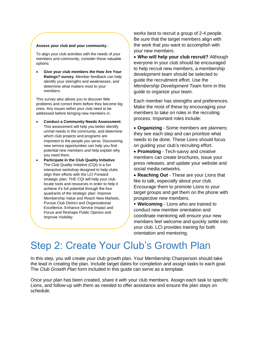#### **Assess your club and your community.**

To align your club activities with the needs of your members and community, consider these valuable options:

 **Give your club members the How Are Your Ratings? survey**. Member feedback can help identify your strengths and weaknesses, and determine what matters most to your members.

This survey also allows you to discover little problems and correct them before they become big ones. Any issues within your club need to be addressed before bringing new members in.

- **Conduct a Community Needs Assessment**. This assessment will help you better identify unmet needs in the community, and determine which club projects and programs are important to the people you serve. Discovering new service opportunities can help you find potential new members and help explain why you need them.
- **Participate in the Club Quality Initiative**: The Club Quality Initiative (CQI) is a fun interactive workshop designed to help clubs align their efforts with the LCI Forward strategic plan. THE CQI will help your club locate tools and resources in order to help it achieve it's full potential through the four quadrants of the strategic plan: Improve Membership Value and Reach New Markets, Pursue Club District and Organizational Excellence, Enhance Service Impact and Focus and Reshape Public Opinion and Improve Visibility.

works best to recruit a group of 2-4 people. Be sure that the target members align with the work that you want to accomplish with your new members.

 **Who will help your club recruit?** Although everyone in your club should be encouraged to help recruit new members, a membership development team should be selected to guide the recruitment effort. Use the *Membership Development Team* form in this guide to organize your team.

Each member has strengths and preferences. Make the most of these by encouraging your members to take on roles in the recruiting process. Important roles include:

 **Organizing** - Some members are planners; they see each step and can prioritize what needs to be done. These Lions should focus on guiding your club's recruiting effort.

- **Promoting** Tech-savvy and creative members can create brochures, issue your press releases, and update your website and social media networks.
- **Reaching Out** These are your Lions that like to talk, especially about your club. Encourage them to promote Lions to your target groups and get them on the phone with prospective new members.

 **Welcoming** - Lions who are trained to conduct new member orientation and coordinate mentoring will ensure your new members feel welcome and quickly settle into your club. LCI provides training for both orientation and mentoring.

# Step 2: Create Your Club's Growth Plan

In this step, you will create your club growth plan. Your Membership Chairperson should take the lead in creating the plan. Include target dates for completion and assign tasks to each goal. The *Club Growth Plan* form included in this guide can serve as a template.

Once your plan has been created, share it with your club members. Assign each task to specific Lions, and follow-up with them as needed to offer assistance and ensure the plan stays on schedule.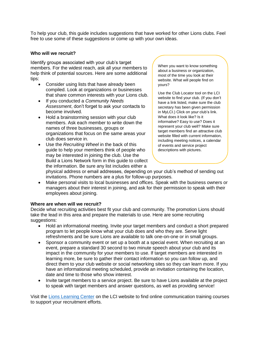To help your club, this guide includes suggestions that have worked for other Lions clubs. Feel free to use some of these suggestions or come up with your own ideas.

#### **Who will we recruit?**

Identify groups associated with your club's target members. For the widest reach, ask all your members to help think of potential sources. Here are some additional tips:

- Consider using lists that have already been compiled. Look at organizations or businesses that share common interests with your Lions club.
- If you conducted a *Community Needs Assessment*, don't forget to ask your contacts to become involved.
- Hold a brainstorming session with your club members. Ask each member to write down the names of three businesses, groups or organizations that focus on the same areas your club does service in.
- Use the *Recruiting Wheel* in the back of this guide to help your members think of people who may be interested in joining the club. Use the Build a Lions Network form in this guide to collect the information. Be sure any list includes either a

When you want to know something about a business or organization, most of the time you look at their website. What will people find on yours?

Use the Club Locator tool on the LCI website to find your club. (If you don't have a link listed, make sure the club secretary has been given permission in MyLCI.) Click on your club's link. What does it look like? Is it informative? Easy to use? Does it represent your club well? Make sure target members find an attractive club website filled with current information, including meeting notices, a calendar of events and service project descriptions with pictures.

physical address or email addresses, depending on your club's method of sending out invitations. Phone numbers are a plus for follow-up purposes.

 Make personal visits to local businesses and offices. Speak with the business owners or managers about their interest in joining, and ask for their permission to speak with their employees about joining.

#### **Where are when will we recruit?**

Decide what recruiting activities best fit your club and community. The promotion Lions should take the lead in this area and prepare the materials to use. Here are some recruiting suggestions:

- Hold an informational meeting. Invite your target members and conduct a short prepared program to let people know what your club does and who they are. Serve light refreshments and be sure Lions are available to talk one-on-one or in small groups.
- Sponsor a community event or set up a booth at a special event. When recruiting at an event, prepare a standard 30 second to two minute speech about your club and its impact in the community for your members to use. If target members are interested in learning more, be sure to gather their contact information so you can follow up, and direct them to your club website or social networking sites so they can learn more. If you have an informational meeting scheduled, provide an invitation containing the location, date and time to those who show interest.
- Invite target members to a service project. Be sure to have Lions available at the project to speak with target members and answer questions, as well as providing service!

Visit the [Lions Learning Center](http://members.lionsclubs.org/EN/resources/leadership-resource-center/lions-learning-center/index.php) on the LCI website to find online communication training courses to support your recruitment efforts.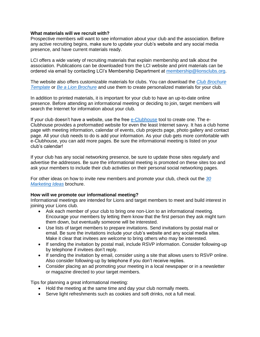#### **What materials will we recruit with?**

Prospective members will want to see information about your club and the association. Before any active recruiting begins, make sure to update your club's website and any social media presence, and have current materials ready.

LCI offers a wide variety of recruiting materials that explain membership and talk about the association. Publications can be downloaded from the LCI website and print materials can be ordered via email by contacting LCI's Membership Department at [membership@lionsclubs.org.](mailto:membership@lionsclubs.org)

The website also offers customizable materials for clubs. You can download the *[Club Brochure](http://www.lionsclubs.org/resources/EN/pdfs/mk20a.pdf)  [Template](http://www.lionsclubs.org/resources/EN/pdfs/mk20a.pdf)* or *[Be a Lion Brochure](http://www.lionsclubs.org/resources/EN/pdfs/pr3_brochure_ltr.pdf)* and use them to create personalized materials for your club.

In addition to printed materials, it is important for your club to have an up-to-date online presence. Before attending an informational meeting or deciding to join, target members will search the Internet for information about your club.

If your club doesn't have a website, use the free [e-Clubhouse](http://members.lionsclubs.org/EN/resources/communicate-your-activities/create-website-eclubhouse.php) tool to create one. The e-Clubhouse provides a preformatted website for even the least Internet savvy. It has a club home page with meeting information, calendar of events, club projects page, photo gallery and contact page. All your club needs to do is add your information. As your club gets more comfortable with e-Clubhouse, you can add more pages. Be sure the informational meeting is listed on your club's calendar!

If your club has any social networking presence, be sure to update those sites regularly and advertise the addresses. Be sure the informational meeting is promoted on these sites too and ask your members to include their club activities on their personal social networking pages.

For other ideas on how to invite new members and promote your club, check out the *[30](http://www.lionsclubs.org/resources/EN/pdfs/mk97.pdf)  [Marketing Ideas](http://www.lionsclubs.org/resources/EN/pdfs/mk97.pdf)* brochure.

#### **How will we promote our informational meeting?**

Informational meetings are intended for Lions and target members to meet and build interest in joining your Lions club.

- Ask each member of your club to bring one non-Lion to an informational meeting. Encourage your members by letting them know that the first person they ask might turn them down, but eventually someone will be interested.
- Use lists of target members to prepare invitations. Send invitations by postal mail or email. Be sure the invitations include your club's website and any social media sites. Make it clear that invitees are welcome to bring others who may be interested.
- If sending the invitation by postal mail, include RSVP information. Consider following-up by telephone if invitees don't reply.
- If sending the invitation by email, consider using a site that allows users to RSVP online. Also consider following-up by telephone if you don't receive replies.
- Consider placing an ad promoting your meeting in a local newspaper or in a newsletter or magazine directed to your target members.

Tips for planning a great informational meeting:

- Hold the meeting at the same time and day your club normally meets.
- Serve light refreshments such as cookies and soft drinks, not a full meal.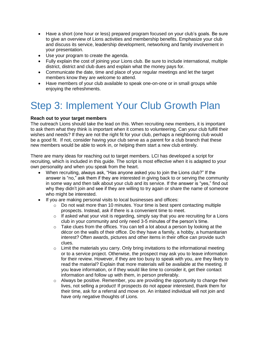- Have a short (one hour or less) prepared program focused on your club's goals. Be sure to give an overview of Lions activities and membership benefits. Emphasize your club and discuss its service, leadership development, networking and family involvement in your presentation.
- Use your program to create the agenda.
- Fully explain the cost of joining your Lions club. Be sure to include international, multiple district, district and club dues and explain what the money pays for.
- Communicate the date, time and place of your regular meetings and let the target members know they are welcome to attend.
- Have members of your club available to speak one-on-one or in small groups while enjoying the refreshments.

# Step 3: Implement Your Club Growth Plan

#### **Reach out to your target members**

The outreach Lions should take the lead on this. When recruiting new members, it is important to ask them what they think is important when it comes to volunteering. Can your club fulfill their wishes and needs? If they are not the right fit for your club, perhaps a neighboring club would be a good fit. If not, consider having your club serve as a parent for a club branch that these new members would be able to work in, or helping them start a new club entirely.

There are many ideas for reaching out to target members. LCI has developed a script for recruiting, which is included in this guide. The script is most effective when it is adapted to your own personality and when you speak from the heart.

- When recruiting, always ask, "Has anyone asked you to join the Lions club?" If the answer is "no," ask them if they are interested in giving back to or serving the community in some way and then talk about your club and its service. If the answer is "yes," find out why they didn't join and see if they are willing to try again or share the name of someone who might be interested.
- If you are making personal visits to local businesses and offices:
	- $\circ$  Do not wait more than 10 minutes. Your time is best spent contacting multiple prospects. Instead, ask if there is a convenient time to meet.
	- $\circ$  If asked what your visit is regarding, simply say that you are recruiting for a Lions club in your community and only need 3-5 minutes of the person's time.
	- $\circ$  Take clues from the offices. You can tell a lot about a person by looking at the décor on the walls of their office. Do they have a family, a hobby, a humanitarian interest? Often awards, pictures and other items in their office can provide such clues.
	- $\circ$  Limit the materials you carry. Only bring invitations to the informational meeting or to a service project. Otherwise, the prospect may ask you to leave information for their review. However, if they are too busy to speak with you, are they likely to read the material? Explain that more materials will be available at the meeting. If you leave information, or if they would like time to consider it, get their contact information and follow up with them, in person preferably.
	- $\circ$  Always be positive. Remember, you are providing the opportunity to change their lives, not selling a product! If prospects do not appear interested, thank them for their time, ask for a referral and move on. An irritated individual will not join and have only negative thoughts of Lions.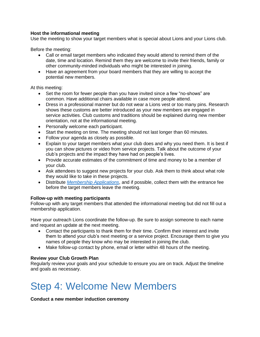#### **Host the informational meeting**

Use the meeting to show your target members what is special about Lions and your Lions club.

Before the meeting:

- Call or email target members who indicated they would attend to remind them of the date, time and location. Remind them they are welcome to invite their friends, family or other community-minded individuals who might be interested in joining.
- Have an agreement from your board members that they are willing to accept the potential new members.

At this meeting:

- Set the room for fewer people than you have invited since a few "no-shows" are common. Have additional chairs available in case more people attend.
- Dress in a professional manner but do not wear a Lions vest or too many pins. Research shows these customs are better introduced as your new members are engaged in service activities. Club customs and traditions should be explained during new member orientation, not at the informational meeting.
- Personally welcome each participant.
- Start the meeting on time. The meeting should not last longer than 60 minutes.
- Follow your agenda as closely as possible.
- Explain to your target members what your club does and why you need them. It is best if you can show pictures or video from service projects. Talk about the outcome of your club's projects and the impact they have had on people's lives.
- Provide accurate estimates of the commitment of time and money to be a member of your club.
- Ask attendees to suggest new projects for your club. Ask them to think about what role they would like to take in these projects.
- Distribute *[Membership Applications](http://www.lionsclubs.org/resources/EN/pdfs/me6b.pdf)*, and if possible, collect them with the entrance fee before the target members leave the meeting.

#### **Follow-up with meeting participants**

Follow-up with any target members that attended the informational meeting but did not fill out a membership application.

Have your outreach Lions coordinate the follow-up. Be sure to assign someone to each name and request an update at the next meeting.

- Contact the participants to thank them for their time. Confirm their interest and invite them to attend your club's next meeting or a service project. Encourage them to give you names of people they know who may be interested in joining the club.
- Make follow-up contact by phone, email or letter within 48 hours of the meeting.

#### **Review your Club Growth Plan**

Regularly review your goals and your schedule to ensure you are on track. Adjust the timeline and goals as necessary.

# Step 4: Welcome New Members

**Conduct a new member induction ceremony**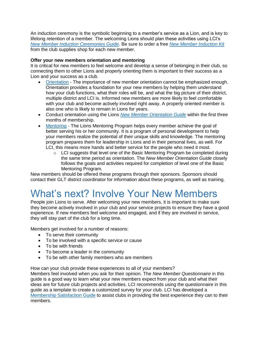An induction ceremony is the symbolic beginning to a member's service as a Lion, and is key to lifelong retention of a member. The welcoming Lions should plan these activities using LCI's *[New Member Induction Ceremonies Guide](http://www.lionsclubs.org/resources/EN/pdfs/me22.pdf)*. Be sure to order a free *[New Member Induction Kit](https://www2.lionsclubs.org/p-1395-centennial-new-member-kit-en.aspx)* from the club supplies shop for each new member.

#### **Offer your new members orientation and mentoring**

It is critical for new members to feel welcome and develop a sense of belonging in their club, so connecting them to other Lions and properly orienting them is important to their success as a Lion and your success as a club.

- [Orientation](http://members.lionsclubs.org/EN/lions/strengthen-membership/member-orientation.php)  The importance of new member orientation cannot be emphasized enough. Orientation provides a foundation for your new members by helping them understand how your club functions, what their roles will be, and what the big picture of their district, multiple district and LCI is. Informed new members are more likely to feel comfortable with your club and become actively involved right away. A properly oriented member is also one who is likely to remain in Lions for years.
- Conduct orientation using the Lions *[New Member Orientation Guide](http://www.lionsclubs.org/resources/EN/pdfs/me13a.pdf)* within the first three months of membership.
- [Mentoring](http://members.lionsclubs.org/EN/lions/strengthen-membership/mentoring-program.php)  The Lions Mentoring Program helps every member achieve the goal of better serving his or her community. It is a program of personal development to help your members realize the potential of their unique skills and knowledge. The mentoring program prepares them for leadership in Lions and in their personal lives, as well. For LCI, this means more hands and better service for the people who need it most.
	- $\circ$  LCI suggests that level one of the Basic Mentoring Program be completed during the same time period as orientation. The *New Member Orientation Guide* closely follows the goals and activities required for completion of level one of the Basic Mentoring Program.

New members should be offered these programs through their sponsors. Sponsors should contact their GLT district coordinator for information about these programs, as well as training.

# What's next? Involve Your New Members

People join Lions to serve. After welcoming your new members, it is important to make sure they become actively involved in your club and your service projects to ensure they have a good experience. If new members feel welcome and engaged, and if they are involved in service, they will stay part of the club for a long time.

Members get involved for a number of reasons:

- To serve their community
- To be involved with a specific service or cause
- To be with friends
- To become a leader in the community
- To be with other family members who are members

How can your club provide these experiences to all of your members?

Members feel involved when you ask for their opinion. The *New Member Questionnaire* in this guide is a good way to learn what your new members expect from your club and what their ideas are for future club projects and activities. LCI recommends using the questionnaire in this guide as a template to create a customized survey for your club. LCI has developed a [Membership Satisfaction Guide](http://www.lionsclubs.org/resources/EN/pdfs/me301.pdf) to assist clubs in providing the best experience they can to their members.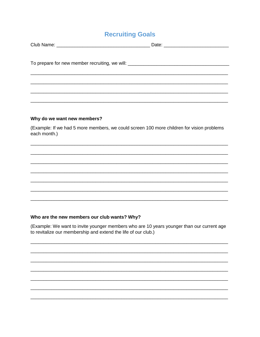### **Recruiting Goals**

| To prepare for new member recruiting, we will: _________________________________ |
|----------------------------------------------------------------------------------|
|                                                                                  |
|                                                                                  |
|                                                                                  |
|                                                                                  |
|                                                                                  |

#### Why do we want new members?

(Example: If we had 5 more members, we could screen 100 more children for vision problems each month.)

#### Who are the new members our club wants? Why?

(Example: We want to invite younger members who are 10 years younger than our current age to revitalize our membership and extend the life of our club.)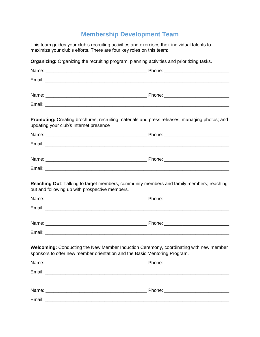## **Membership Development Team**

This team guides your club's recruiting activities and exercises their individual talents to maximize your club's efforts. There are four key roles on this team:

| updating your club's Internet presence         | Promoting: Creating brochures, recruiting materials and press releases; managing photos; and |
|------------------------------------------------|----------------------------------------------------------------------------------------------|
|                                                |                                                                                              |
|                                                |                                                                                              |
|                                                |                                                                                              |
|                                                |                                                                                              |
| out and following up with prospective members. |                                                                                              |
|                                                |                                                                                              |
|                                                |                                                                                              |
|                                                |                                                                                              |
|                                                |                                                                                              |
|                                                | sponsors to offer new member orientation and the Basic Mentoring Program.                    |
|                                                |                                                                                              |
|                                                | Welcoming: Conducting the New Member Induction Ceremony, coordinating with new member        |
|                                                |                                                                                              |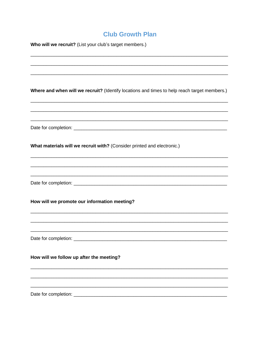### **Club Growth Plan**

| Who will we recruit? (List your club's target members.)                                      |  |  |
|----------------------------------------------------------------------------------------------|--|--|
|                                                                                              |  |  |
|                                                                                              |  |  |
| Where and when will we recruit? (Identify locations and times to help reach target members.) |  |  |
|                                                                                              |  |  |
| What materials will we recruit with? (Consider printed and electronic.)                      |  |  |
|                                                                                              |  |  |
| How will we promote our information meeting?                                                 |  |  |
|                                                                                              |  |  |
| How will we follow up after the meeting?                                                     |  |  |
|                                                                                              |  |  |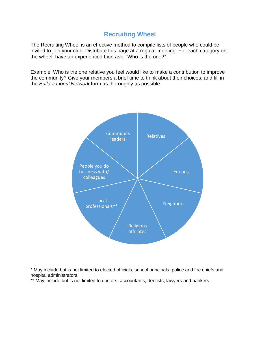### **Recruiting Wheel**

The Recruiting Wheel is an effective method to compile lists of people who could be invited to join your club. Distribute this page at a regular meeting. For each category on the wheel, have an experienced Lion ask: "Who is the one?"

Example: Who is the one relative you feel would like to make a contribution to improve the community? Give your members a brief time to think about their choices, and fill in the *Build a Lions' Network* form as thoroughly as possible.



\* May include but is not limited to elected officials, school principals, police and fire chiefs and hospital administrators.

\*\* May include but is not limited to doctors, accountants, dentists, lawyers and bankers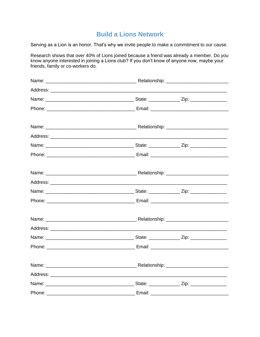### **Build a Lions Network**

Serving as a Lion is an honor. That's why we invite people to make a commitment to our cause.

Research shows that over 40% of Lions joined because a friend was already a member. Do you know anyone interested in joining a Lions club? If you don't know of anyone now, maybe your friends, family or co-workers do.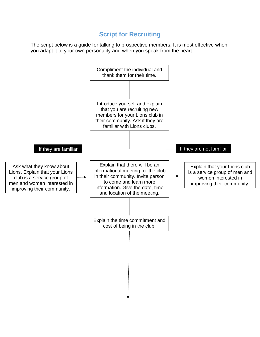### **Script for Recruiting**

The script below is a guide for talking to prospective members. It is most effective when you adapt it to your own personality and when you speak from the heart.

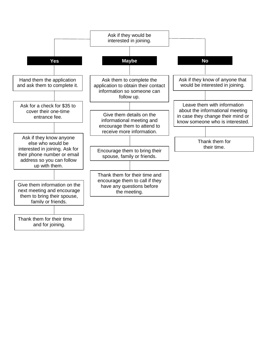

and for joining.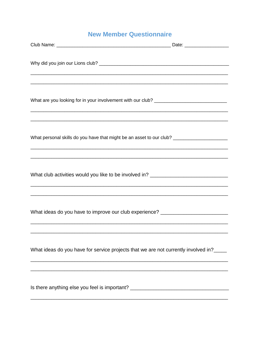### **New Member Questionnaire**

| What personal skills do you have that might be an asset to our club? _______________________________                                                                  |  |
|-----------------------------------------------------------------------------------------------------------------------------------------------------------------------|--|
| What club activities would you like to be involved in? _________________________<br>,我们也不能在这里的,我们也不能在这里的时候,我们也不能在这里的时候,我们也不能不能不能不能不能不能不能不能不能。""我们,我们也不能不能不能不能不能不能不能不  |  |
| ,我们也不能在这里的人,我们也不能在这里的人,我们也不能在这里的人,我们也不能在这里的人,我们也不能在这里的人,我们也不能在这里的人,我们也不能在这里的人,我们也<br>What ideas do you have to improve our club experience? _________________________ |  |
| What ideas do you have for service projects that we are not currently involved in?                                                                                    |  |
| Is there anything else you feel is important? __________________________________                                                                                      |  |